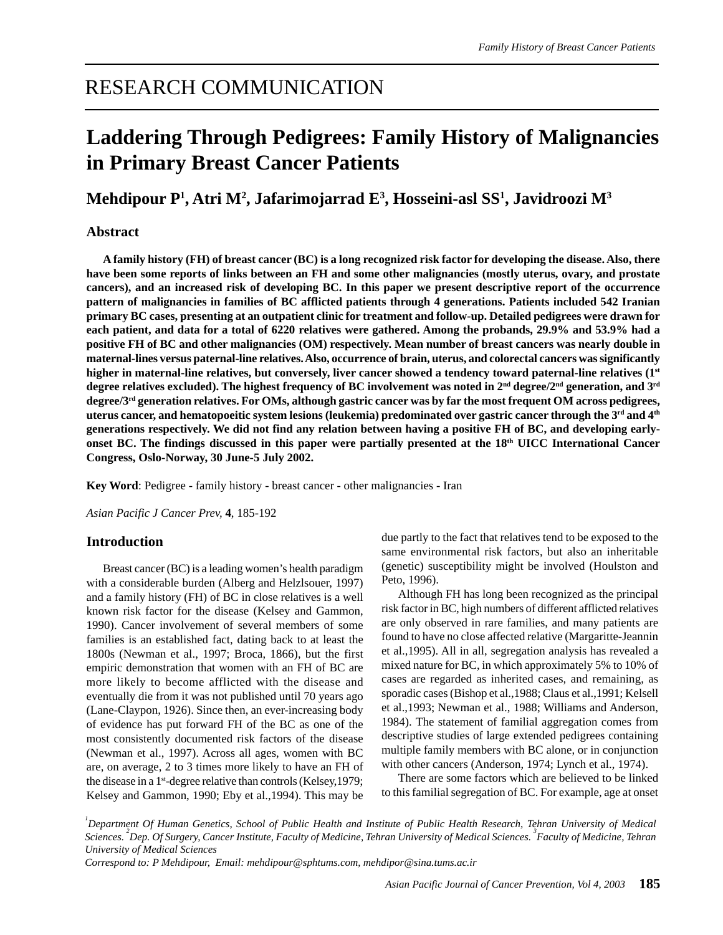## RESEARCH COMMUNICATION

# **Laddering Through Pedigrees: Family History of Malignancies in Primary Breast Cancer Patients**

**Mehdipour P1 , Atri M2 , Jafarimojarrad E3 , Hosseini-asl SS1 , Javidroozi M3**

#### **Abstract**

**A family history (FH) of breast cancer (BC) is a long recognized risk factor for developing the disease. Also, there have been some reports of links between an FH and some other malignancies (mostly uterus, ovary, and prostate cancers), and an increased risk of developing BC. In this paper we present descriptive report of the occurrence pattern of malignancies in families of BC afflicted patients through 4 generations. Patients included 542 Iranian primary BC cases, presenting at an outpatient clinic for treatment and follow-up. Detailed pedigrees were drawn for each patient, and data for a total of 6220 relatives were gathered. Among the probands, 29.9% and 53.9% had a positive FH of BC and other malignancies (OM) respectively. Mean number of breast cancers was nearly double in maternal-lines versus paternal-line relatives. Also, occurrence of brain, uterus, and colorectal cancers was significantly higher in maternal-line relatives, but conversely, liver cancer showed a tendency toward paternal-line relatives (1st degree relatives excluded). The highest frequency of BC involvement was noted in 2nd degree/2nd generation, and 3rd degree/3rd generation relatives. For OMs, although gastric cancer was by far the most frequent OM across pedigrees, uterus cancer, and hematopoeitic system lesions (leukemia) predominated over gastric cancer through the 3rd and 4th generations respectively. We did not find any relation between having a positive FH of BC, and developing earlyonset BC. The findings discussed in this paper were partially presented at the 18th UICC International Cancer Congress, Oslo-Norway, 30 June-5 July 2002.**

**Key Word**: Pedigree - family history - breast cancer - other malignancies - Iran

*Asian Pacific J Cancer Prev,* **4**, 185-192

#### **Introduction**

Breast cancer (BC) is a leading women's health paradigm with a considerable burden (Alberg and Helzlsouer, 1997) and a family history (FH) of BC in close relatives is a well known risk factor for the disease (Kelsey and Gammon, 1990). Cancer involvement of several members of some families is an established fact, dating back to at least the 1800s (Newman et al., 1997; Broca, 1866), but the first empiric demonstration that women with an FH of BC are more likely to become afflicted with the disease and eventually die from it was not published until 70 years ago (Lane-Claypon, 1926). Since then, an ever-increasing body of evidence has put forward FH of the BC as one of the most consistently documented risk factors of the disease (Newman et al., 1997). Across all ages, women with BC are, on average, 2 to 3 times more likely to have an FH of the disease in a  $1<sup>st</sup>$ -degree relative than controls (Kelsey, 1979; Kelsey and Gammon, 1990; Eby et al.,1994). This may be

due partly to the fact that relatives tend to be exposed to the same environmental risk factors, but also an inheritable (genetic) susceptibility might be involved (Houlston and Peto, 1996).

Although FH has long been recognized as the principal risk factor in BC, high numbers of different afflicted relatives are only observed in rare families, and many patients are found to have no close affected relative (Margaritte-Jeannin et al.,1995). All in all, segregation analysis has revealed a mixed nature for BC, in which approximately 5% to 10% of cases are regarded as inherited cases, and remaining, as sporadic cases (Bishop et al.,1988; Claus et al.,1991; Kelsell et al.,1993; Newman et al., 1988; Williams and Anderson, 1984). The statement of familial aggregation comes from descriptive studies of large extended pedigrees containing multiple family members with BC alone, or in conjunction with other cancers (Anderson, 1974; Lynch et al., 1974).

There are some factors which are believed to be linked to this familial segregation of BC. For example, age at onset

*1 Department Of Human Genetics, School of Public Health and Institute of Public Health Research, Tehran University of Medical Sciences. 2 Dep. Of Surgery, Cancer Institute, Faculty of Medicine, Tehran University of Medical Sciences. 3 Faculty of Medicine, Tehran University of Medical Sciences*

*Correspond to: P Mehdipour, Email: mehdipour@sphtums.com, mehdipor@sina.tums.ac.ir*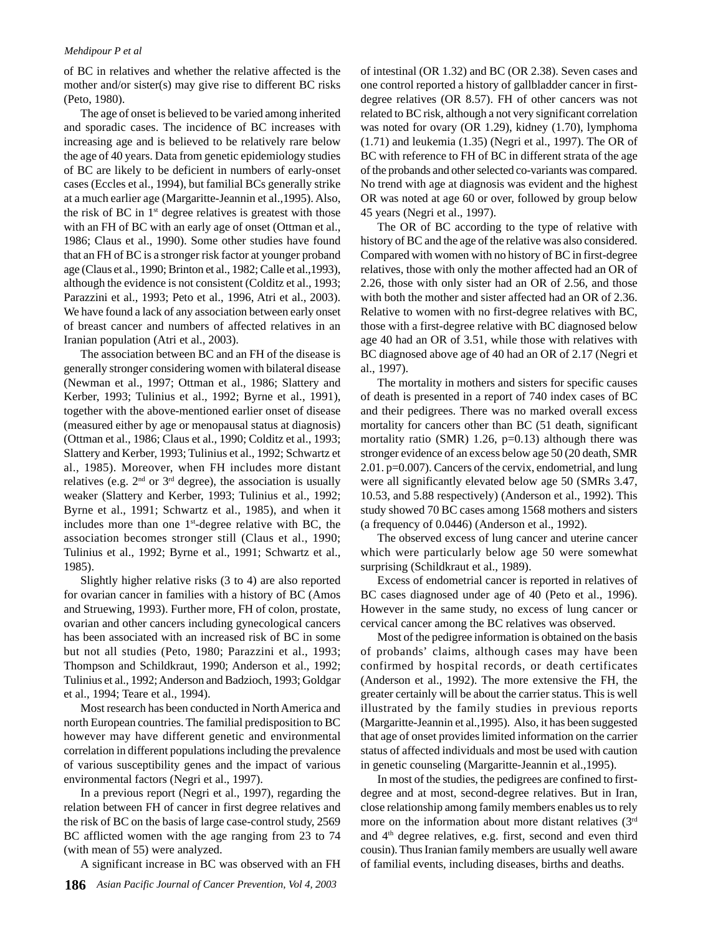#### *Mehdipour P et al*

of BC in relatives and whether the relative affected is the mother and/or sister(s) may give rise to different BC risks (Peto, 1980).

The age of onset is believed to be varied among inherited and sporadic cases. The incidence of BC increases with increasing age and is believed to be relatively rare below the age of 40 years. Data from genetic epidemiology studies of BC are likely to be deficient in numbers of early-onset cases (Eccles et al., 1994), but familial BCs generally strike at a much earlier age (Margaritte-Jeannin et al.,1995). Also, the risk of BC in  $1<sup>st</sup>$  degree relatives is greatest with those with an FH of BC with an early age of onset (Ottman et al., 1986; Claus et al., 1990). Some other studies have found that an FH of BC is a stronger risk factor at younger proband age (Claus et al., 1990; Brinton et al., 1982; Calle et al.,1993), although the evidence is not consistent (Colditz et al., 1993; Parazzini et al., 1993; Peto et al., 1996, Atri et al., 2003). We have found a lack of any association between early onset of breast cancer and numbers of affected relatives in an Iranian population (Atri et al., 2003).

The association between BC and an FH of the disease is generally stronger considering women with bilateral disease (Newman et al., 1997; Ottman et al., 1986; Slattery and Kerber, 1993; Tulinius et al., 1992; Byrne et al., 1991), together with the above-mentioned earlier onset of disease (measured either by age or menopausal status at diagnosis) (Ottman et al., 1986; Claus et al., 1990; Colditz et al., 1993; Slattery and Kerber, 1993; Tulinius et al., 1992; Schwartz et al., 1985). Moreover, when FH includes more distant relatives (e.g.  $2<sup>nd</sup>$  or  $3<sup>rd</sup>$  degree), the association is usually weaker (Slattery and Kerber, 1993; Tulinius et al., 1992; Byrne et al., 1991; Schwartz et al., 1985), and when it includes more than one  $1<sup>st</sup>$ -degree relative with BC, the association becomes stronger still (Claus et al., 1990; Tulinius et al., 1992; Byrne et al., 1991; Schwartz et al., 1985).

Slightly higher relative risks (3 to 4) are also reported for ovarian cancer in families with a history of BC (Amos and Struewing, 1993). Further more, FH of colon, prostate, ovarian and other cancers including gynecological cancers has been associated with an increased risk of BC in some but not all studies (Peto, 1980; Parazzini et al., 1993; Thompson and Schildkraut, 1990; Anderson et al., 1992; Tulinius et al., 1992; Anderson and Badzioch, 1993; Goldgar et al., 1994; Teare et al., 1994).

Most research has been conducted in North America and north European countries. The familial predisposition to BC however may have different genetic and environmental correlation in different populations including the prevalence of various susceptibility genes and the impact of various environmental factors (Negri et al., 1997).

In a previous report (Negri et al., 1997), regarding the relation between FH of cancer in first degree relatives and the risk of BC on the basis of large case-control study, 2569 BC afflicted women with the age ranging from 23 to 74 (with mean of 55) were analyzed.

A significant increase in BC was observed with an FH

of intestinal (OR 1.32) and BC (OR 2.38). Seven cases and one control reported a history of gallbladder cancer in firstdegree relatives (OR 8.57). FH of other cancers was not related to BC risk, although a not very significant correlation was noted for ovary (OR 1.29), kidney (1.70), lymphoma (1.71) and leukemia (1.35) (Negri et al., 1997). The OR of BC with reference to FH of BC in different strata of the age of the probands and other selected co-variants was compared. No trend with age at diagnosis was evident and the highest OR was noted at age 60 or over, followed by group below 45 years (Negri et al., 1997).

The OR of BC according to the type of relative with history of BC and the age of the relative was also considered. Compared with women with no history of BC in first-degree relatives, those with only the mother affected had an OR of 2.26, those with only sister had an OR of 2.56, and those with both the mother and sister affected had an OR of 2.36. Relative to women with no first-degree relatives with BC, those with a first-degree relative with BC diagnosed below age 40 had an OR of 3.51, while those with relatives with BC diagnosed above age of 40 had an OR of 2.17 (Negri et al., 1997).

The mortality in mothers and sisters for specific causes of death is presented in a report of 740 index cases of BC and their pedigrees. There was no marked overall excess mortality for cancers other than BC (51 death, significant mortality ratio (SMR) 1.26,  $p=0.13$ ) although there was stronger evidence of an excess below age 50 (20 death, SMR 2.01. p=0.007). Cancers of the cervix, endometrial, and lung were all significantly elevated below age 50 (SMRs 3.47, 10.53, and 5.88 respectively) (Anderson et al., 1992). This study showed 70 BC cases among 1568 mothers and sisters (a frequency of 0.0446) (Anderson et al., 1992).

The observed excess of lung cancer and uterine cancer which were particularly below age 50 were somewhat surprising (Schildkraut et al., 1989).

Excess of endometrial cancer is reported in relatives of BC cases diagnosed under age of 40 (Peto et al., 1996). However in the same study, no excess of lung cancer or cervical cancer among the BC relatives was observed.

Most of the pedigree information is obtained on the basis of probands' claims, although cases may have been confirmed by hospital records, or death certificates (Anderson et al., 1992). The more extensive the FH, the greater certainly will be about the carrier status. This is well illustrated by the family studies in previous reports (Margaritte-Jeannin et al.,1995). Also, it has been suggested that age of onset provides limited information on the carrier status of affected individuals and most be used with caution in genetic counseling (Margaritte-Jeannin et al.,1995).

In most of the studies, the pedigrees are confined to firstdegree and at most, second-degree relatives. But in Iran, close relationship among family members enables us to rely more on the information about more distant relatives (3<sup>rd</sup>) and 4th degree relatives, e.g. first, second and even third cousin). Thus Iranian family members are usually well aware of familial events, including diseases, births and deaths.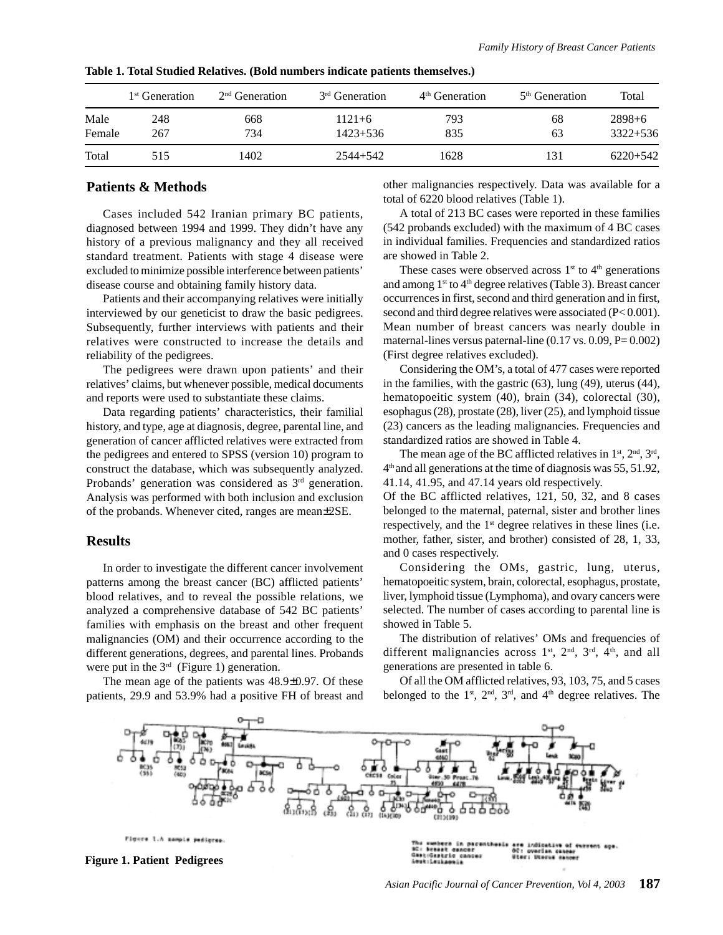|                | 1 <sup>st</sup> Generation | $2nd$ Generation | 3 <sup>rd</sup> Generation | 4 <sup>th</sup> Generation | $5th$ Generation | Total                    |
|----------------|----------------------------|------------------|----------------------------|----------------------------|------------------|--------------------------|
| Male<br>Female | 248<br>267                 | 668<br>734       | $1121 + 6$<br>$1423 + 536$ | 793<br>835                 | 68<br>63         | $2898+6$<br>$3322 + 536$ |
| Total          | 515                        | 1402             | 2544+542                   | 1628                       | 131              | $6220+542$               |

**Table 1. Total Studied Relatives. (Bold numbers indicate patients themselves.)**

#### **Patients & Methods**

Cases included 542 Iranian primary BC patients, diagnosed between 1994 and 1999. They didn't have any history of a previous malignancy and they all received standard treatment. Patients with stage 4 disease were excluded to minimize possible interference between patients' disease course and obtaining family history data.

Patients and their accompanying relatives were initially interviewed by our geneticist to draw the basic pedigrees. Subsequently, further interviews with patients and their relatives were constructed to increase the details and reliability of the pedigrees.

The pedigrees were drawn upon patients' and their relatives' claims, but whenever possible, medical documents and reports were used to substantiate these claims.

Data regarding patients' characteristics, their familial history, and type, age at diagnosis, degree, parental line, and generation of cancer afflicted relatives were extracted from the pedigrees and entered to SPSS (version 10) program to construct the database, which was subsequently analyzed. Probands' generation was considered as 3<sup>rd</sup> generation. Analysis was performed with both inclusion and exclusion of the probands. Whenever cited, ranges are mean±2SE.

#### **Results**

In order to investigate the different cancer involvement patterns among the breast cancer (BC) afflicted patients' blood relatives, and to reveal the possible relations, we analyzed a comprehensive database of 542 BC patients' families with emphasis on the breast and other frequent malignancies (OM) and their occurrence according to the different generations, degrees, and parental lines. Probands were put in the  $3<sup>rd</sup>$  (Figure 1) generation.

The mean age of the patients was 48.9±0.97. Of these patients, 29.9 and 53.9% had a positive FH of breast and other malignancies respectively. Data was available for a total of 6220 blood relatives (Table 1).

A total of 213 BC cases were reported in these families (542 probands excluded) with the maximum of 4 BC cases in individual families. Frequencies and standardized ratios are showed in Table 2.

These cases were observed across  $1<sup>st</sup>$  to  $4<sup>th</sup>$  generations and among  $1^{st}$  to  $4^{th}$  degree relatives (Table 3). Breast cancer occurrences in first, second and third generation and in first, second and third degree relatives were associated (P< 0.001). Mean number of breast cancers was nearly double in maternal-lines versus paternal-line  $(0.17 \text{ vs. } 0.09, P= 0.002)$ (First degree relatives excluded).

Considering the OM's, a total of 477 cases were reported in the families, with the gastric (63), lung (49), uterus (44), hematopoeitic system (40), brain (34), colorectal (30), esophagus (28), prostate (28), liver (25), and lymphoid tissue (23) cancers as the leading malignancies. Frequencies and standardized ratios are showed in Table 4.

The mean age of the BC afflicted relatives in  $1<sup>st</sup>$ ,  $2<sup>nd</sup>$ ,  $3<sup>rd</sup>$ , 4th and all generations at the time of diagnosis was 55, 51.92, 41.14, 41.95, and 47.14 years old respectively.

Of the BC afflicted relatives, 121, 50, 32, and 8 cases belonged to the maternal, paternal, sister and brother lines respectively, and the 1<sup>st</sup> degree relatives in these lines (i.e. mother, father, sister, and brother) consisted of 28, 1, 33, and 0 cases respectively.

Considering the OMs, gastric, lung, uterus, hematopoeitic system, brain, colorectal, esophagus, prostate, liver, lymphoid tissue (Lymphoma), and ovary cancers were selected. The number of cases according to parental line is showed in Table 5.

The distribution of relatives' OMs and frequencies of different malignancies across  $1<sup>st</sup>$ ,  $2<sup>nd</sup>$ ,  $3<sup>rd</sup>$ ,  $4<sup>th</sup>$ , and all generations are presented in table 6.

Of all the OM afflicted relatives, 93, 103, 75, and 5 cases belonged to the  $1<sup>st</sup>$ ,  $2<sup>nd</sup>$ ,  $3<sup>rd</sup>$ , and  $4<sup>th</sup>$  degree relatives. The

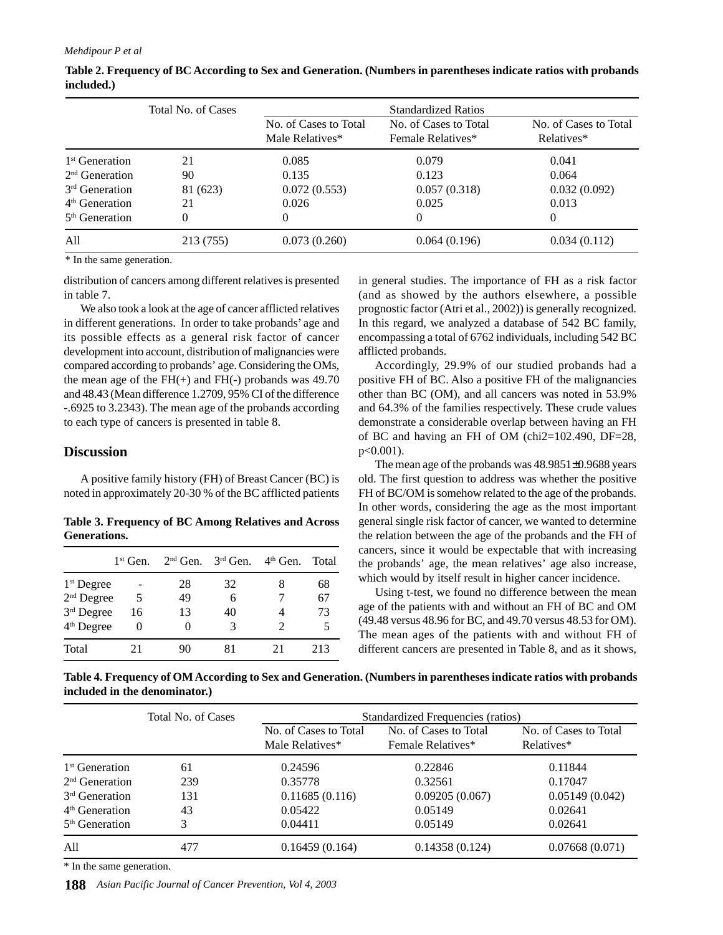|                            | Total No. of Cases |                                          | <b>Standardized Ratios</b>                 |                                     |
|----------------------------|--------------------|------------------------------------------|--------------------------------------------|-------------------------------------|
|                            |                    | No. of Cases to Total<br>Male Relatives* | No. of Cases to Total<br>Female Relatives* | No. of Cases to Total<br>Relatives* |
| 1 <sup>st</sup> Generation | 21                 | 0.085                                    | 0.079                                      | 0.041                               |
| $2nd$ Generation           | 90                 | 0.135                                    | 0.123                                      | 0.064                               |
| 3 <sup>rd</sup> Generation | 81 (623)           | 0.072(0.553)                             | 0.057(0.318)                               | 0.032(0.092)                        |
| $4th$ Generation           | 21                 | 0.026                                    | 0.025                                      | 0.013                               |
| $5th$ Generation           | 0                  | $\theta$                                 | 0                                          | 0                                   |
| All                        | 213 (755)          | 0.073(0.260)                             | 0.064(0.196)                               | 0.034(0.112)                        |

**Table 2. Frequency of BC According to Sex and Generation. (Numbers in parentheses indicate ratios with probands included.)**

\* In the same generation.

distribution of cancers among different relatives is presented in table 7.

We also took a look at the age of cancer afflicted relatives in different generations. In order to take probands' age and its possible effects as a general risk factor of cancer development into account, distribution of malignancies were compared according to probands' age. Considering the OMs, the mean age of the  $FH(+)$  and  $FH(-)$  probands was 49.70 and 48.43 (Mean difference 1.2709, 95% CI of the difference -.6925 to 3.2343). The mean age of the probands according to each type of cancers is presented in table 8.

#### **Discussion**

A positive family history (FH) of Breast Cancer (BC) is noted in approximately 20-30 % of the BC afflicted patients

**Table 3. Frequency of BC Among Relatives and Across Generations.**

|                        | $1st$ Gen. | $2nd$ Gen. | $3rd$ Gen. | $4th$ Gen. | Total |
|------------------------|------------|------------|------------|------------|-------|
| $1st$ Degree           |            | 28         | 32         | 8          | 68    |
| $2nd$ Degree           | 5          | 49         | 6          |            | 67    |
| 3rd Degree             | 16         | 13         | 40         |            | 73    |
| 4 <sup>th</sup> Degree | 0          |            | 3          |            |       |
| Total                  | , 1        |            | 81         | 21         | 213   |

in general studies. The importance of FH as a risk factor (and as showed by the authors elsewhere, a possible prognostic factor (Atri et al., 2002)) is generally recognized. In this regard, we analyzed a database of 542 BC family, encompassing a total of 6762 individuals, including 542 BC afflicted probands.

Accordingly, 29.9% of our studied probands had a positive FH of BC. Also a positive FH of the malignancies other than BC (OM), and all cancers was noted in 53.9% and 64.3% of the families respectively. These crude values demonstrate a considerable overlap between having an FH of BC and having an FH of OM (chi2=102.490, DF=28,  $p < 0.001$ ).

The mean age of the probands was 48.9851±0.9688 years old. The first question to address was whether the positive FH of BC/OM is somehow related to the age of the probands. In other words, considering the age as the most important general single risk factor of cancer, we wanted to determine the relation between the age of the probands and the FH of cancers, since it would be expectable that with increasing the probands' age, the mean relatives' age also increase, which would by itself result in higher cancer incidence.

Using t-test, we found no difference between the mean age of the patients with and without an FH of BC and OM (49.48 versus 48.96 for BC, and 49.70 versus 48.53 for OM). The mean ages of the patients with and without FH of different cancers are presented in Table 8, and as it shows,

|                               | Table 4. Frequency of OM According to Sex and Generation. (Numbers in parentheses indicate ratios with probands |  |
|-------------------------------|-----------------------------------------------------------------------------------------------------------------|--|
| included in the denominator.) |                                                                                                                 |  |

|                            | Total No. of Cases | Standardized Frequencies (ratios)        |                                            |                                     |  |  |  |  |
|----------------------------|--------------------|------------------------------------------|--------------------------------------------|-------------------------------------|--|--|--|--|
|                            |                    | No. of Cases to Total<br>Male Relatives* | No. of Cases to Total<br>Female Relatives* | No. of Cases to Total<br>Relatives* |  |  |  |  |
| $1st$ Generation           | 61                 | 0.24596                                  | 0.22846                                    | 0.11844                             |  |  |  |  |
| $2nd$ Generation           | 239                | 0.35778                                  | 0.32561                                    | 0.17047                             |  |  |  |  |
| 3 <sup>rd</sup> Generation | 131                | 0.11685(0.116)                           | 0.09205(0.067)                             | 0.05149(0.042)                      |  |  |  |  |
| $4th$ Generation           | 43                 | 0.05422                                  | 0.05149                                    | 0.02641                             |  |  |  |  |
| $5th$ Generation           | 3                  | 0.04411                                  | 0.05149                                    | 0.02641                             |  |  |  |  |
| All                        | 477                | 0.16459(0.164)                           | 0.14358(0.124)                             | 0.07668(0.071)                      |  |  |  |  |

\* In the same generation.

**188** *Asian Pacific Journal of Cancer Prevention, Vol 4, 2003*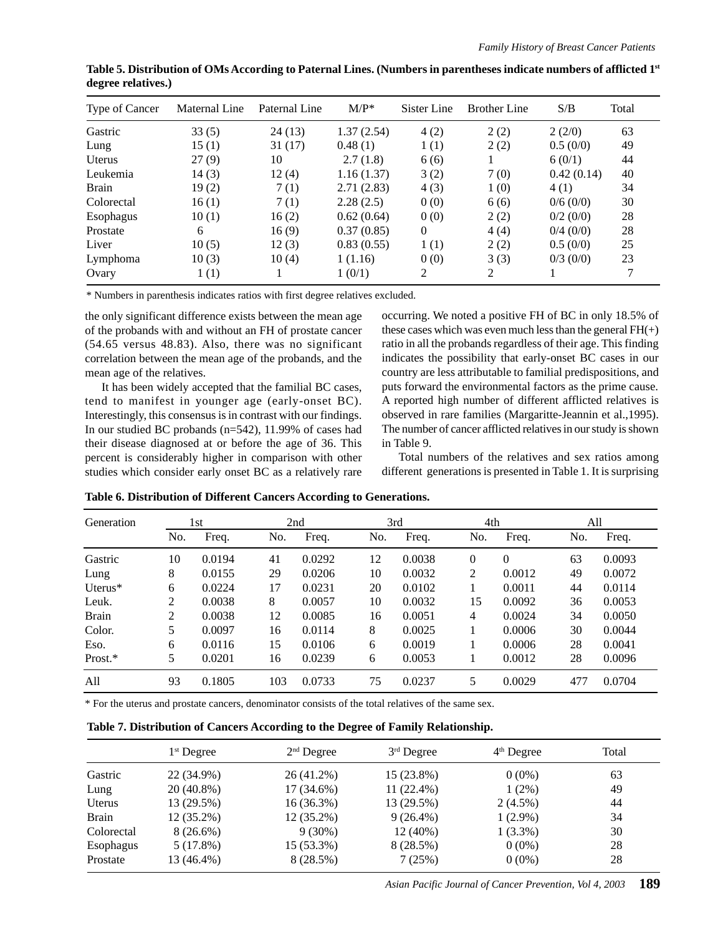| Type of Cancer | Maternal Line | Paternal Line | $M/P^*$    | Sister Line    | <b>Brother Line</b> | S/B         | Total |
|----------------|---------------|---------------|------------|----------------|---------------------|-------------|-------|
| Gastric        | 33(5)         | 24 (13)       | 1.37(2.54) | 4(2)           | 2(2)                | 2(2/0)      | 63    |
| Lung           | 15(1)         | 31(17)        | 0.48(1)    | 1(1)           | 2(2)                | 0.5(0/0)    | 49    |
| Uterus         | 27(9)         | 10            | 2.7(1.8)   | 6(6)           |                     | 6(0/1)      | 44    |
| Leukemia       | 14(3)         | 12(4)         | 1.16(1.37) | 3(2)           | 7(0)                | 0.42(0.14)  | 40    |
| <b>Brain</b>   | 19(2)         | 7(1)          | 2.71(2.83) | 4(3)           | 1(0)                | 4(1)        | 34    |
| Colorectal     | 16(1)         | 7(1)          | 2.28(2.5)  | 0(0)           | 6(6)                | 0/6(0/0)    | 30    |
| Esophagus      | 10(1)         | 16(2)         | 0.62(0.64) | 0(0)           | 2(2)                | $0/2$ (0/0) | 28    |
| Prostate       | 6             | 16(9)         | 0.37(0.85) | $\overline{0}$ | 4(4)                | 0/4(0/0)    | 28    |
| Liver          | 10(5)         | 12(3)         | 0.83(0.55) | 1(1)           | 2(2)                | 0.5(0/0)    | 25    |
| Lymphoma       | 10(3)         | 10(4)         | 1(1.16)    | 0(0)           | 3(3)                | $0/3$ (0/0) | 23    |
| Ovary          | 1(1)          |               | 1(0/1)     | 2              | 2                   |             |       |

**Table 5. Distribution of OMs According to Paternal Lines. (Numbers in parentheses indicate numbers of afflicted 1st degree relatives.)**

\* Numbers in parenthesis indicates ratios with first degree relatives excluded.

the only significant difference exists between the mean age of the probands with and without an FH of prostate cancer (54.65 versus 48.83). Also, there was no significant correlation between the mean age of the probands, and the mean age of the relatives.

It has been widely accepted that the familial BC cases, tend to manifest in younger age (early-onset BC). Interestingly, this consensus is in contrast with our findings. In our studied BC probands (n=542), 11.99% of cases had their disease diagnosed at or before the age of 36. This percent is considerably higher in comparison with other studies which consider early onset BC as a relatively rare

occurring. We noted a positive FH of BC in only 18.5% of these cases which was even much less than the general  $FH(+)$ ratio in all the probands regardless of their age. This finding indicates the possibility that early-onset BC cases in our country are less attributable to familial predispositions, and puts forward the environmental factors as the prime cause. A reported high number of different afflicted relatives is observed in rare families (Margaritte-Jeannin et al.,1995). The number of cancer afflicted relatives in our study is shown in Table 9.

Total numbers of the relatives and sex ratios among different generations is presented in Table 1. It is surprising

| Generation   |     | 1st    | 2nd |        | 3rd |        | 4th            |          | All |        |
|--------------|-----|--------|-----|--------|-----|--------|----------------|----------|-----|--------|
|              | No. | Freq.  | No. | Freq.  | No. | Freq.  | No.            | Freq.    | No. | Freq.  |
| Gastric      | 10  | 0.0194 | 41  | 0.0292 | 12  | 0.0038 | 0              | $\Omega$ | 63  | 0.0093 |
| Lung         | 8   | 0.0155 | 29  | 0.0206 | 10  | 0.0032 | $\overline{2}$ | 0.0012   | 49  | 0.0072 |
| Uterus $*$   | 6   | 0.0224 | 17  | 0.0231 | 20  | 0.0102 |                | 0.0011   | 44  | 0.0114 |
| Leuk.        | 2   | 0.0038 | 8   | 0.0057 | 10  | 0.0032 | 15             | 0.0092   | 36  | 0.0053 |
| <b>Brain</b> | 2   | 0.0038 | 12  | 0.0085 | 16  | 0.0051 | 4              | 0.0024   | 34  | 0.0050 |
| Color.       | 5   | 0.0097 | 16  | 0.0114 | 8   | 0.0025 |                | 0.0006   | 30  | 0.0044 |
| Eso.         | 6   | 0.0116 | 15  | 0.0106 | 6   | 0.0019 |                | 0.0006   | 28  | 0.0041 |
| Prost.*      | 5   | 0.0201 | 16  | 0.0239 | 6   | 0.0053 |                | 0.0012   | 28  | 0.0096 |
| All          | 93  | 0.1805 | 103 | 0.0733 | 75  | 0.0237 | 5              | 0.0029   | 477 | 0.0704 |

**Table 6. Distribution of Different Cancers According to Generations.**

\* For the uterus and prostate cancers, denominator consists of the total relatives of the same sex.

**Table 7. Distribution of Cancers According to the Degree of Family Relationship.**

|              | $1st$ Degree | $2nd$ Degree | $3rd$ Degree | $4th$ Degree | Total |
|--------------|--------------|--------------|--------------|--------------|-------|
| Gastric      | 22 (34.9%)   | 26 (41.2%)   | $15(23.8\%)$ | $0(0\%)$     | 63    |
| Lung         | 20 (40.8%)   | 17 (34.6%)   | $11(22.4\%)$ | $1(2\%)$     | 49    |
| Uterus       | 13 (29.5%)   | $16(36.3\%)$ | 13 (29.5%)   | $2(4.5\%)$   | 44    |
| <b>Brain</b> | $12(35.2\%)$ | $12(35.2\%)$ | $9(26.4\%)$  | $1(2.9\%)$   | 34    |
| Colorectal   | $8(26.6\%)$  | $9(30\%)$    | $12(40\%)$   | $1(3.3\%)$   | 30    |
| Esophagus    | 5(17.8%)     | 15 (53.3%)   | 8 (28.5%)    | $0(0\%)$     | 28    |
| Prostate     | 13 (46.4%)   | 8(28.5%)     | 7(25%)       | $0(0\%)$     | 28    |
|              |              |              |              |              |       |

*Asian Pacific Journal of Cancer Prevention, Vol 4, 2003* **189**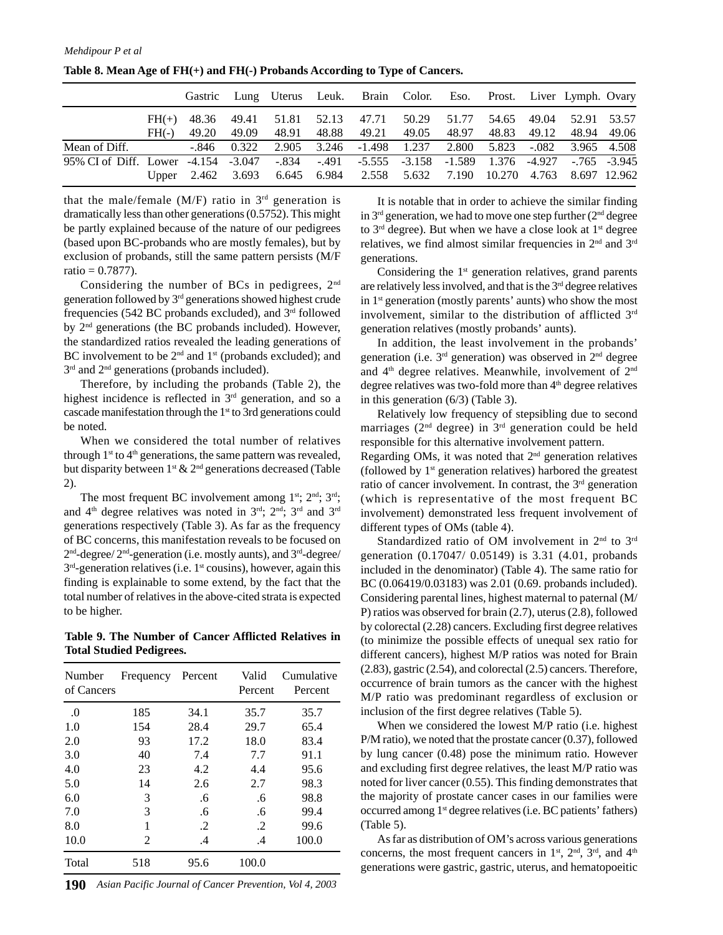|                                                                                                |         |       |  | Gastric Lung Uterus Leuk. Brain Color. Eso. Prost. Liver Lymph. Ovary     |  |  |  |
|------------------------------------------------------------------------------------------------|---------|-------|--|---------------------------------------------------------------------------|--|--|--|
|                                                                                                | $FH(+)$ |       |  | 48.36 49.41 51.81 52.13 47.71 50.29 51.77 54.65 49.04 52.91 53.57         |  |  |  |
|                                                                                                | $FH(-)$ | 49.20 |  | 49.09 48.91 48.88 49.21 49.05 48.97 48.83 49.12 48.94 49.06               |  |  |  |
| Mean of Diff.                                                                                  |         |       |  | -.846 0.322 2.905 3.246 -1.498 1.237 2.800 5.823 -.082 3.965 4.508        |  |  |  |
| 95% CI of Diff. Lower -4.154 -3.047 -.834 -.491 -5.555 -3.158 -1.589 1.376 -4.927 -.765 -3.945 |         |       |  |                                                                           |  |  |  |
|                                                                                                |         |       |  | Upper 2.462 3.693 6.645 6.984 2.558 5.632 7.190 10.270 4.763 8.697 12.962 |  |  |  |

**Table 8. Mean Age of FH(+) and FH(-) Probands According to Type of Cancers.**

that the male/female (M/F) ratio in  $3<sup>rd</sup>$  generation is dramatically less than other generations (0.5752). This might be partly explained because of the nature of our pedigrees (based upon BC-probands who are mostly females), but by exclusion of probands, still the same pattern persists (M/F  $ratio = 0.7877$ .

Considering the number of BCs in pedigrees, 2nd generation followed by 3rd generations showed highest crude frequencies (542 BC probands excluded), and  $3<sup>rd</sup>$  followed by 2nd generations (the BC probands included). However, the standardized ratios revealed the leading generations of BC involvement to be  $2<sup>nd</sup>$  and  $1<sup>st</sup>$  (probands excluded); and 3<sup>rd</sup> and 2<sup>nd</sup> generations (probands included).

Therefore, by including the probands (Table 2), the highest incidence is reflected in 3<sup>rd</sup> generation, and so a cascade manifestation through the 1<sup>st</sup> to 3rd generations could be noted.

When we considered the total number of relatives through  $1<sup>st</sup>$  to  $4<sup>th</sup>$  generations, the same pattern was revealed, but disparity between  $1^{st} \& 2^{nd}$  generations decreased (Table 2).

The most frequent BC involvement among 1<sup>st</sup>; 2<sup>nd</sup>; 3<sup>rd</sup>; and 4th degree relatives was noted in 3rd; 2nd; 3rd and 3rd generations respectively (Table 3). As far as the frequency of BC concerns, this manifestation reveals to be focused on 2nd-degree/ 2nd-generation (i.e. mostly aunts), and 3rd-degree/  $3<sup>rd</sup>$ -generation relatives (i.e. 1<sup>st</sup> cousins), however, again this finding is explainable to some extend, by the fact that the total number of relatives in the above-cited strata is expected to be higher.

**Table 9. The Number of Cancer Afflicted Relatives in Total Studied Pedigrees.**

| Number<br>of Cancers | Frequency | Percent | Valid<br>Percent | Cumulative<br>Percent |
|----------------------|-----------|---------|------------------|-----------------------|
| .0                   | 185       | 34.1    | 35.7             | 35.7                  |
| 1.0                  | 154       | 28.4    | 29.7             | 65.4                  |
| 2.0                  | 93        | 17.2    | 18.0             | 83.4                  |
| 3.0                  | 40        | 7.4     | 7.7              | 91.1                  |
| 4.0                  | 23        | 4.2     | 4.4              | 95.6                  |
| 5.0                  | 14        | 2.6     | 2.7              | 98.3                  |
| 6.0                  | 3         | .6      | .6               | 98.8                  |
| 7.0                  | 3         | .6      | .6               | 99.4                  |
| 8.0                  | 1         | .2      | $\cdot$          | 99.6                  |
| 10.0                 | 2         | $\cdot$ | $\cdot$          | 100.0                 |
| Total                | 518       | 95.6    | 100.0            |                       |

**190** *Asian Pacific Journal of Cancer Prevention, Vol 4, 2003*

It is notable that in order to achieve the similar finding in  $3<sup>rd</sup>$  generation, we had to move one step further  $(2<sup>nd</sup>$  degree to  $3<sup>rd</sup>$  degree). But when we have a close look at  $1<sup>st</sup>$  degree relatives, we find almost similar frequencies in 2nd and 3rd generations.

Considering the  $1<sup>st</sup>$  generation relatives, grand parents are relatively less involved, and that is the 3rd degree relatives in  $1<sup>st</sup>$  generation (mostly parents' aunts) who show the most involvement, similar to the distribution of afflicted 3<sup>rd</sup> generation relatives (mostly probands' aunts).

In addition, the least involvement in the probands' generation (i.e.  $3<sup>rd</sup>$  generation) was observed in  $2<sup>nd</sup>$  degree and  $4<sup>th</sup>$  degree relatives. Meanwhile, involvement of  $2<sup>nd</sup>$ degree relatives was two-fold more than  $4<sup>th</sup>$  degree relatives in this generation (6/3) (Table 3).

Relatively low frequency of stepsibling due to second marriages (2nd degree) in 3rd generation could be held responsible for this alternative involvement pattern. Regarding OMs, it was noted that  $2<sup>nd</sup>$  generation relatives (followed by  $1<sup>st</sup>$  generation relatives) harbored the greatest ratio of cancer involvement. In contrast, the 3<sup>rd</sup> generation

(which is representative of the most frequent BC involvement) demonstrated less frequent involvement of different types of OMs (table 4).

Standardized ratio of OM involvement in 2<sup>nd</sup> to 3<sup>rd</sup> generation (0.17047/ 0.05149) is 3.31 (4.01, probands included in the denominator) (Table 4). The same ratio for BC (0.06419/0.03183) was 2.01 (0.69. probands included). Considering parental lines, highest maternal to paternal (M/ P) ratios was observed for brain (2.7), uterus (2.8), followed by colorectal (2.28) cancers. Excluding first degree relatives (to minimize the possible effects of unequal sex ratio for different cancers), highest M/P ratios was noted for Brain (2.83), gastric (2.54), and colorectal (2.5) cancers. Therefore, occurrence of brain tumors as the cancer with the highest M/P ratio was predominant regardless of exclusion or inclusion of the first degree relatives (Table 5).

When we considered the lowest M/P ratio (i.e. highest P/M ratio), we noted that the prostate cancer (0.37), followed by lung cancer (0.48) pose the minimum ratio. However and excluding first degree relatives, the least M/P ratio was noted for liver cancer (0.55). This finding demonstrates that the majority of prostate cancer cases in our families were occurred among 1<sup>st</sup> degree relatives (i.e. BC patients' fathers) (Table 5).

As far as distribution of OM's across various generations concerns, the most frequent cancers in  $1<sup>st</sup>$ ,  $2<sup>nd</sup>$ ,  $3<sup>rd</sup>$ , and  $4<sup>th</sup>$ generations were gastric, gastric, uterus, and hematopoeitic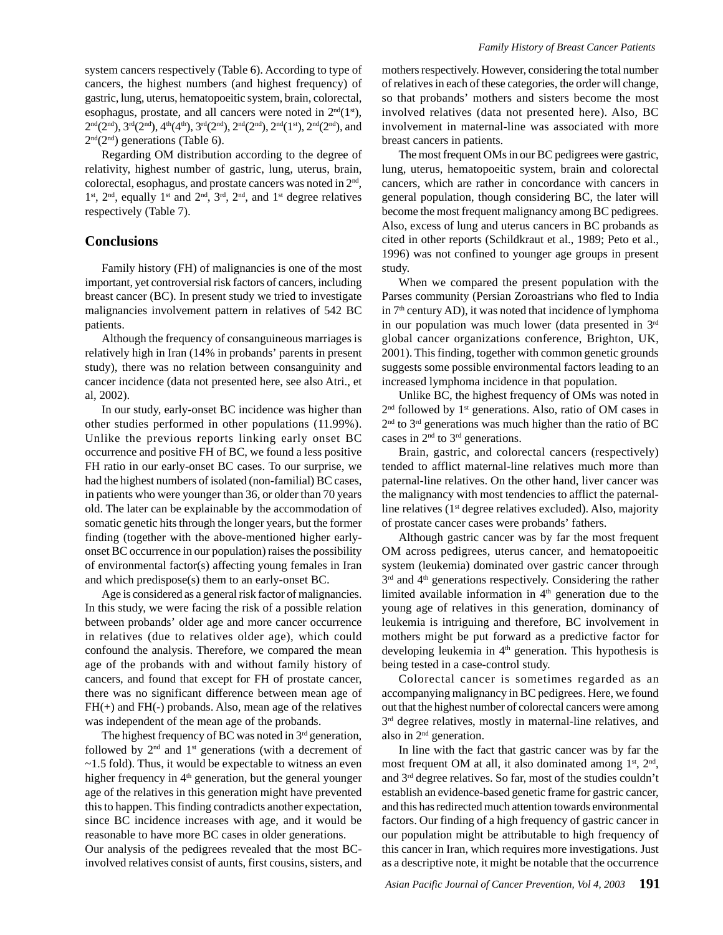system cancers respectively (Table 6). According to type of cancers, the highest numbers (and highest frequency) of gastric, lung, uterus, hematopoeitic system, brain, colorectal, esophagus, prostate, and all cancers were noted in  $2<sup>nd</sup>(1<sup>st</sup>)$ ,  $2<sup>nd</sup>(2<sup>nd</sup>), 3<sup>rd</sup>(2<sup>nd</sup>), 4<sup>th</sup>(4<sup>th</sup>), 3<sup>rd</sup>(2<sup>nd</sup>), 2<sup>nd</sup>(2<sup>nd</sup>), 2<sup>nd</sup>(1<sup>st</sup>), 2<sup>nd</sup>(2<sup>nd</sup>), and$  $2<sup>nd</sup>(2<sup>nd</sup>)$  generations (Table 6).

Regarding OM distribution according to the degree of relativity, highest number of gastric, lung, uterus, brain, colorectal, esophagus, and prostate cancers was noted in 2nd, 1st, 2nd, equally 1st and 2nd, 3rd, 2nd, and 1st degree relatives respectively (Table 7).

#### **Conclusions**

Family history (FH) of malignancies is one of the most important, yet controversial risk factors of cancers, including breast cancer (BC). In present study we tried to investigate malignancies involvement pattern in relatives of 542 BC patients.

Although the frequency of consanguineous marriages is relatively high in Iran (14% in probands' parents in present study), there was no relation between consanguinity and cancer incidence (data not presented here, see also Atri., et al, 2002).

In our study, early-onset BC incidence was higher than other studies performed in other populations (11.99%). Unlike the previous reports linking early onset BC occurrence and positive FH of BC, we found a less positive FH ratio in our early-onset BC cases. To our surprise, we had the highest numbers of isolated (non-familial) BC cases, in patients who were younger than 36, or older than 70 years old. The later can be explainable by the accommodation of somatic genetic hits through the longer years, but the former finding (together with the above-mentioned higher earlyonset BC occurrence in our population) raises the possibility of environmental factor(s) affecting young females in Iran and which predispose(s) them to an early-onset BC.

Age is considered as a general risk factor of malignancies. In this study, we were facing the risk of a possible relation between probands' older age and more cancer occurrence in relatives (due to relatives older age), which could confound the analysis. Therefore, we compared the mean age of the probands with and without family history of cancers, and found that except for FH of prostate cancer, there was no significant difference between mean age of FH(+) and FH(-) probands. Also, mean age of the relatives was independent of the mean age of the probands.

The highest frequency of BC was noted in  $3<sup>rd</sup>$  generation, followed by  $2<sup>nd</sup>$  and  $1<sup>st</sup>$  generations (with a decrement of ~1.5 fold). Thus, it would be expectable to witness an even higher frequency in 4<sup>th</sup> generation, but the general younger age of the relatives in this generation might have prevented this to happen. This finding contradicts another expectation, since BC incidence increases with age, and it would be reasonable to have more BC cases in older generations. Our analysis of the pedigrees revealed that the most BCinvolved relatives consist of aunts, first cousins, sisters, and mothers respectively. However, considering the total number of relatives in each of these categories, the order will change, so that probands' mothers and sisters become the most involved relatives (data not presented here). Also, BC involvement in maternal-line was associated with more breast cancers in patients.

The most frequent OMs in our BC pedigrees were gastric, lung, uterus, hematopoeitic system, brain and colorectal cancers, which are rather in concordance with cancers in general population, though considering BC, the later will become the most frequent malignancy among BC pedigrees. Also, excess of lung and uterus cancers in BC probands as cited in other reports (Schildkraut et al., 1989; Peto et al., 1996) was not confined to younger age groups in present study.

When we compared the present population with the Parses community (Persian Zoroastrians who fled to India in 7<sup>th</sup> century AD), it was noted that incidence of lymphoma in our population was much lower (data presented in 3rd global cancer organizations conference, Brighton, UK, 2001). This finding, together with common genetic grounds suggests some possible environmental factors leading to an increased lymphoma incidence in that population.

Unlike BC, the highest frequency of OMs was noted in  $2<sup>nd</sup>$  followed by 1<sup>st</sup> generations. Also, ratio of OM cases in 2<sup>nd</sup> to 3<sup>rd</sup> generations was much higher than the ratio of BC cases in  $2<sup>nd</sup>$  to  $3<sup>rd</sup>$  generations.

Brain, gastric, and colorectal cancers (respectively) tended to afflict maternal-line relatives much more than paternal-line relatives. On the other hand, liver cancer was the malignancy with most tendencies to afflict the paternalline relatives (1<sup>st</sup> degree relatives excluded). Also, majority of prostate cancer cases were probands' fathers.

Although gastric cancer was by far the most frequent OM across pedigrees, uterus cancer, and hematopoeitic system (leukemia) dominated over gastric cancer through  $3<sup>rd</sup>$  and  $4<sup>th</sup>$  generations respectively. Considering the rather limited available information in  $4<sup>th</sup>$  generation due to the young age of relatives in this generation, dominancy of leukemia is intriguing and therefore, BC involvement in mothers might be put forward as a predictive factor for developing leukemia in  $4<sup>th</sup>$  generation. This hypothesis is being tested in a case-control study.

Colorectal cancer is sometimes regarded as an accompanying malignancy in BC pedigrees. Here, we found out that the highest number of colorectal cancers were among 3<sup>rd</sup> degree relatives, mostly in maternal-line relatives, and also in 2nd generation.

In line with the fact that gastric cancer was by far the most frequent OM at all, it also dominated among  $1<sup>st</sup>$ ,  $2<sup>nd</sup>$ , and 3rd degree relatives. So far, most of the studies couldn't establish an evidence-based genetic frame for gastric cancer, and this has redirected much attention towards environmental factors. Our finding of a high frequency of gastric cancer in our population might be attributable to high frequency of this cancer in Iran, which requires more investigations. Just as a descriptive note, it might be notable that the occurrence